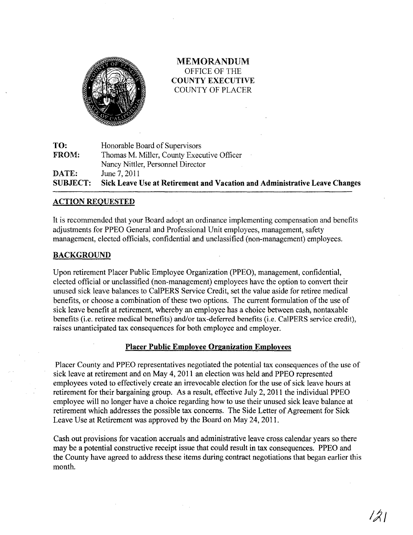

MElVIORANDUM OFFICE OF THE COUNTY EXECUTIVE COUNTY OF PLACER

TO: FROM: DATE: SUBJECT: Honorable Board of Supervisors Thomas M. Miller, County Executive Officer Nancy Nittler, Personnel Director June 7, 2011 Sick Leave Use at Retirement and Vacation and Administrative Leave Changes

### ACTION REQUESTED

It is recommended that your Board adopt an ordinance implementing compensation and benefits adjustments for PPEO General and Professional Unit employees, management, safety management, elected officials, confidential and unclassified (non-management) employees.

### BACKGROUND

Upon retirement Placer Public Employee Organization (PPEO), management, confidential, elected official or unclassified (non-management) employees have the option to convert their unused sick leave balances to CalPERS Service Credit, set the value aside for retiree medical benefits, or choose a combination of these two options. The current formulation of the use of sick leave benefit at retirement, whereby an employee has a choice between cash, nontaxable benefits (i.e. retiree medical benefits) and/or tax-deferred benefits (i.e. CalPERS service credit), raises unanticipated tax consequences for both employee and employer.

#### Placer Public Employee Organization Employees

Placer Comity and PPEO representatives negotiated the potential tax consequences of the use of sick leave at retirement and on May 4, 2011 an election was held and PPEO represented employees voted to effectively create an irrevocable election for the use of sick leave hours at retirement for their bargaining group. As a result, effective July 2,2011 the individual PPEO employee will no longer have a choice regarding how to use their unused sick leave balance at retirement which addresses the possible tax concerns. The Side Letter of Agreement for Sick Leave Use at Retirement was approved by the Board on May 24, 2011.

Cash out provisions for vacation accruals and administrative leave cross calendar years so there may be a potential constructive receipt issue that could result in tax consequences. PPEO and the County have agreed to address these items during contract negotiations that began earlier this month.

 $\left(\mathcal{Z}\right)$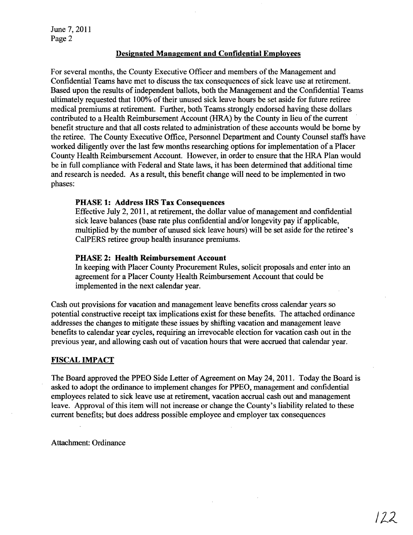June 7, 2011 Page 2

### Designated Management and Confidential Employees

For several months, the County Executive Officer and members of the Management and Confidential Teams have met to discuss the tax consequences of sick leave use at retirement. Based upon the results of independent ballots, both the Management and the Confidential Teams ultimately requested that 100% of their unused sick leave hours be set aside for future retiree medical premiums at retirement. Further, both Teams. strongly endorsed having these dollars contributed to a Health Reimbursement Account (HRA) by the County in lieu of the current benefit structure and that all costs related to administration of these accounts would be borne by the retiree. The County Executive Office, Personnel Department and County Counsel staffs have worked diligently over the last few months researching options for implementation of a Placer County Health Reimbursement Account. However, in order to ensure that the HRA Plan would be in full compliance with Federal and State laws, it has been determined that additional time and research is needed. As a result, this benefit change will need to be implemented in two phases:

### PHASE 1: Address IRS Tax Consequences

Effective July 2, 2011, at retirement, the dollar value of management and confidential sick leave balances (base rate plus confidential and/or longevity pay if applicable, multiplied by the number of unused sick leave hours) will be set aside for the retiree's CalPERS retiree group health insurance premiums.

### PHASE 2: Health Reimbursement Account

In keeping with Placer County Procurement Rules, solicit proposals and enter into an agreement for a Placer County Health Reimbursement Account that could be implemented in the next calendar year.

Cash out provisions for vacation and management leave benefits cross calendar years so potential constructive receipt tax implications exist for these benefits. The attached ordinance addresses the changes to mitigate these issues by shifting vacation and management leave benefits to calendar year cycles, requiring an irrevocable election for vacation cash out in the previous year, and allowing cash out of vacation hours that were accrued that calendar year.

### FISCAL IMPACT

The Board approved the PPEO Side Letter of Agreement on May 24,2011. Today the Board is asked to adopt the ordinance to implement changes for PPEO, management and confidential employees related to sick leave use at retirement, vacation accrual cash out and management leave. Approval of this item will not increase or change the County's liability related to these current benefits; but does address possible employee and employer tax consequences

Attachment: Ordinance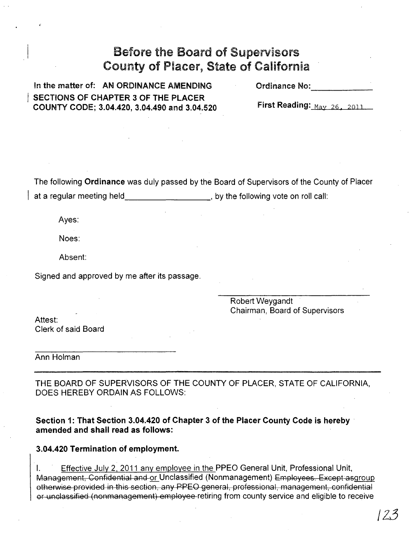## Before the Board of Supervisors County of Placer, State of California

In the matter of: AN ORDINANCE AMENDING SECTIONS OF CHAPTER 3 OF THE PLACER COUNTY CODE; 3.04.420, 3.04.490 and 3.04.520 Ordinance No:

First Reading:  $M_{\text{av}}$  26, 2011

The following Ordinance was duly passed by the Board of Supervisors of the County of Placer at a regular meeting held **a noise in the set of the following vote on roll call:** 

Ayes:

Noes:

Absent:

Signed and approved by me after its passage.

Robert Weygandt Chairman, Board of Supervisors

Attest: Clerk of said Board

Ann Holman

THE BOARD OF SUPERVISORS OF THE COUNTY OF PLACER, STATE OF CALIFORNIA, DOES HEREBY ORDAIN AS FOLLOWS:

Section 1: That Section 3.04.420 of Chapter 3 of the Placer County Code is hereby . amended and shall read as follows:

### 3.04.420 Termination of employment.

I. Effective July 2, 2011 any employee in the PPEO General Unit, Professional Unit, Management, Confidential and or Unclassified (Nonmanagement) Employees. Except asgroup otherwise provided in this section, any PPEO general, professional, management, confidential or unclassified (nonmanagement) employee retiring from county service and eligible to receive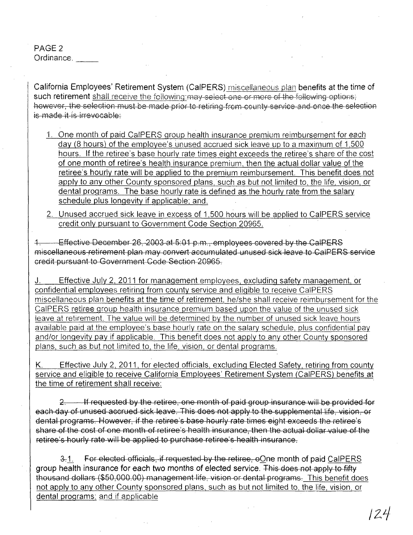PAGE 2 Ordinance.

California Employees' Retirement System (CaIPERS) miscellaneous plan benefits at the time of such retirement shall receive the following:may select one or more of the following options; however, the selection must be made prior to retiring from county service and once the selection is made it is irrevocable:

- 1. One month of paid CalPERS group health insurance premium reimbursement for each day (8 hours) of the employee's unused accrued sick leave up to a maximum of 1,500 hours. If the retiree's base hourly rate times eight exceeds the retiree's share of the cost of one month of retiree's health insurance premium, then the actual dollar value of the retiree's hourly rate will be applied to the premium reimbursement. This benefit does not apply to any other County sponsored plans, such as but not limited to, the life, vision, or dental programs. The base hourly rate is defined as the hourlv rate from the salary schedule plus longevity if applicable; and,
- 2. Unused accrued sick leave in excess of 1,500 hours will be applied to CalPERS service credit only pursuant to Government Code Section 20965.

1. Effective December 26,2003 at 5:01 p.m., employees covered by the CalPERS miscellaneous retirement plan may convert accumulated unused sick leave to CalPERS service credit pursuant to Government Code Section 20965.

J. Effective July 2, 2011 for management employees, excluding safety management, or confidential employees retiring from county service and eligible to receive CalPERS miscellaneous plan benefits at the time of retirement, he/she shall receive reimbursement for the CalPERS retiree group health insurance premium based upon the value of the unused sick leave at retirement. The value will be determined by the number of unused sick leave hours available paid at the employee's base hourly rate on the salary schedule, plus confidential pay and/or longevity pay if applicable. This benefit does not apply to any other County sponsored plans, such as but not limited to, the life, vision, or dental programs.

K. Effective July 2, 2011, for elected officials, excluding Elected Safety, retiring from county service and eligible to receive California Employees' Retirement System (CaIPERS) benefits at the time of retirement shall receive:

2. If requested by the retiree, one month of paid group insurance will be provided for each day of unused accrued sick leave. This does not apply to the supplemental life, vision, or dental programs. However, if the retiree's base hourly rate times eight exceeds the retiree's share of the cost of one month of retiree's health insurance, then the actual dollar value of the retiree's hourly rate will be applied to purchase retiree's health insurance.

3.1. For elected officials, if requested by the retiree, oOne month of paid CalPERS group health insurance for each two months of elected service. This does not apply to fifty thousand dollars (\$50,000.00) management life, vision or dental programs. This benefit does not apply to any other County sponsored plans, such as but not limited to, the life, vision, or dental programs; and if applicable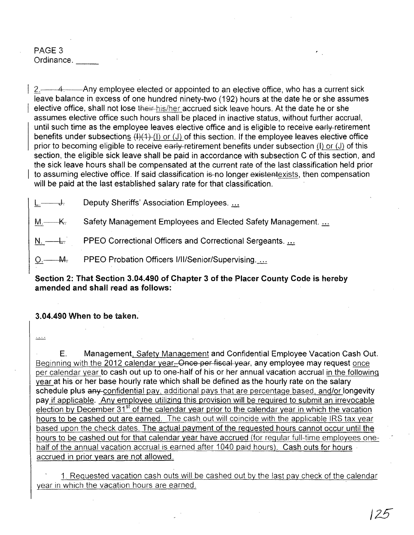## PAGE 3 Ordinance. \_\_

 $2.$  A. Any employee elected or appointed to an elective office, who has a current sick leave balance in excess of one hundred ninety-two (192) hours at the date he or she assumes elective office, shall not lose their-his/her accrued sick leave hours. At the date he or she assumes elective office such hours shall be placed in inactive status, without further accrual, until such time as the employee leaves elective office and is eligible to receive early-retirement benefits under subsections  $(H)(1)$  (I) or (J) of this section. If the employee leaves elective office prior to becoming eligible to receive early-retirement benefits under subsection (I) or (J) of this section, the eligible sick leave shall be paid in accordance with subsection C of this section, and the sick leave hours shall be compensated at the current rate of the last classification held prior to assuming elective office. If said classification is no longer existentexists, then compensation will be paid at the last established salary rate for that classification.

L. U. Deputy Sheriffs' Association Employees. ...

M. K. Safety Management Employees and Elected Safety Management...

N. — L. PPEO Correctional Officers and Correctional Sergeants. ...

O. M. PPEO Probation Officers I/II/Senior/Supervising...

## Section 2: That Section 3.04.490 of Chapter 3 of the Placer County Code is hereby amended and shall read as follows:

## 3.04.490 When to be taken.

لتنفذ

E. Management, Safety Management and Confidential Employee Vacation Cash Out. Beginning with the 2012 calendar year–Once per fiscal year, any employee may request once per calendar year to cash out up to one-half of his or her annual vacation accrual in the following year at his or her base hourly rate which shall be defined as the hourly rate on the salary schedule plus any-confidential pay, additional pays that are percentage based, and/or longevity pay if applicable. Any employee utilizing this provision will be required to submit an irrevocable election by December  $31<sup>st</sup>$  of the calendar year prior to the calendar year in which the vacation hours to be cashed out are earned. The cash out will coincide with the applicable IRS tax year based upon the check dates. The actual payment of the requested hours cannot occur until the hours to be cashed out for that calendar year have accrued (for regular full-time employees onehalf of the annual vacation accrual is earned after 1040 paid hours). Cash outs for hours accrued in prior years are not allowed.

1. Requested vacation cash outs will be cashed out by the last pay check of the calendar year in which the vacation hours are earned.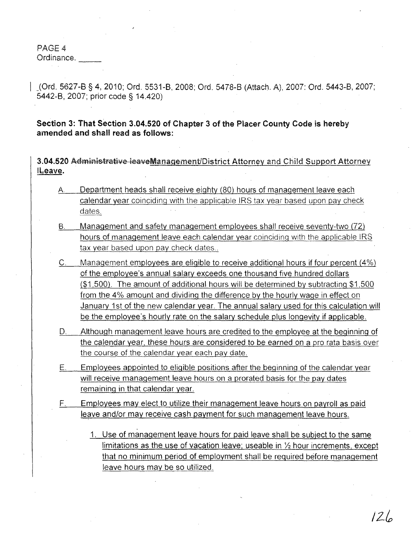PAGE 4

Ordinance.

JOrd. 5627-8 § 4,2010; Ord. 5531-8, 2008; Ord. 5478-8 (Attach. A), 2007: Ord. 5443-8,2007; 5442-8, 2007; prior code § 14.420)

Section 3: That Section 3.04.520 of Chapter 3 of the Placer County Code is hereby amended and shall read as follows:

3.04.520 Administrative leaveManagement/District Attorney and Child Support Attorney ILeave.

- A Department heads shall receive eighty (80) hours of management leave each calendar year coinciding with the applicable IRS tax year based upon pay check dates.
- B. Management and safety management employees shall receive seventy-two (72) hours of management leave each calendar year coinciding with the applicable IRS tax year based upon pay check dates.
- C. Management employees are eligible to receive additional hours if four percent (4%) of the employee's annual salary exceeds one thousand five hundred dollars (\$1,500). The amount of additional hours will be determined by subtracting \$1,500 from the 4% amount and dividing the difference by the hourly wage in effect on January 1st of the new calendar year. The annual salary used for this calculation will be the employee's hourly rate on the salary schedule plus longevity if applicable.
- D. Although management leave hours are credited to the employee at the beginning of the calendar year, these hours are considered to be earned on a pro rata basis over the course of the calendar year each pay date.
- E. Employees appointed to eligible positions after the beginninq of the calendar year will receive management leave hours on a prorated basis for the pay dates remaining in that calendar year.
- F. Employees may elect to utilize their management leave hours on payroll as paid leave and/or may receive cash payment for such management leave hours.
	- 1. Use of management leave hours for paid leave shall be subject to the same limitations as the use of vacation leave; useable in  $\frac{1}{2}$  hour increments, except that no minimum period of employment shall be required before management leave hours may be so utilized.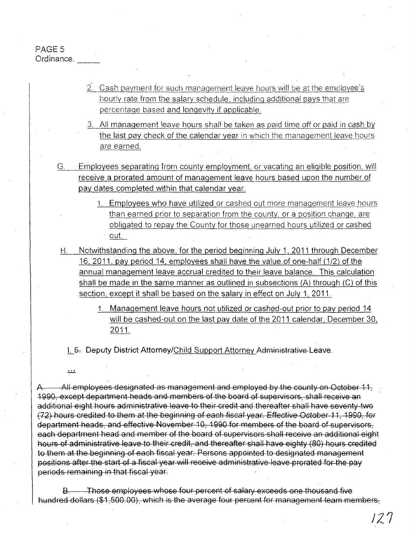PAGE 5 Ordinance.

 $\pm$ 

- 2. Cash payment for such management leave hours will be at the employee's hourly rate from the salary schedule. including additional pays that are percentage based and longevity if applicable.
- 3. Ali management leave hours shall be taken as paid time off or paid in cash by the last pay check of the calendar year in which the management leave hours are earned.
- G. Employees separating from county employment, or vacating an eligible position, will receive a prorated amount of management leave hours based upon the number of pay dates completed within that calendar year.
	- 1. Employees who have utilized or cashed out more management leave hours than earned prior to separation from the county, or a position change, are obligated to repay the County for those unearned hours utilized or cashed out.
	- H. Notwithstanding the above, for the period beginning July 1, 2011 through December 16, 2011, pay period 14, employees shall have the value .of one-half (1/2) of the annual management leave accrual credited to their leave balance. This calculation shall be made in the same manner as outlined in subsections (A) through (C) of this section, except it shall be based on the salary in effect on July 1, 2011.
		- 1. Management leave hours not utilized or cashed-out prior to pay period 14 will be cashed-out on the last pay date of the 2011 calendar, December 30, 2011.

I. 5. Deputy District Attorney/Child Support Attorney Administrative Leave.

A. All employees designated as management and employed by the county on October 11, 1990, except department heads and members of the board of supervisors, shall receive an additional eight hours administrative leave to their credit and thereafter shall have seventy-two (72) hours credited to them at the beginning of each fiscal year. Effective October 11, 1990, for department heads, and effective November 10, 1990 for members of the board of supervisors, each department head and member of the board of supervisors shall receive an additional eight hours of administrative leave to their credit, and thereafter shall have eighty (80) hours credited to them at the beginning of each fiscal year. Persons appointed to designated management positions after the start of a fiscal year will receive administrative leave prorated for the pay periods remaining in that fiscal year,

B. Those employees whose four percent of salary exceeds one thousand five hundred dollars (\$1,500.00), which is the average four percent for management team members,